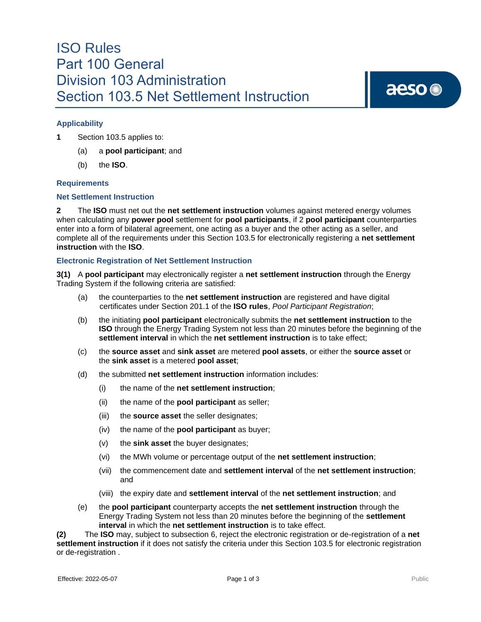### ISO Rules Part 100 General Division 103 Administration Section 103.5 Net Settlement Instruction

# aeso<sup>®</sup>

### **Applicability**

- **1** Section 103.5 applies to:
	- (a) a **pool participant**; and
	- (b) the **ISO**.

### **Requirements**

### **Net Settlement Instruction**

**2** The **ISO** must net out the **net settlement instruction** volumes against metered energy volumes when calculating any **power pool** settlement for **pool participants**, if 2 **pool participant** counterparties enter into a form of bilateral agreement, one acting as a buyer and the other acting as a seller, and complete all of the requirements under this Section 103.5 for electronically registering a **net settlement instruction** with the **ISO**.

### **Electronic Registration of Net Settlement Instruction**

**3(1)** A **pool participant** may electronically register a **net settlement instruction** through the Energy Trading System if the following criteria are satisfied:

- (a) the counterparties to the **net settlement instruction** are registered and have digital certificates under Section 201.1 of the **ISO rules**, *Pool Participant Registration*;
- (b) the initiating **pool participant** electronically submits the **net settlement instruction** to the **ISO** through the Energy Trading System not less than 20 minutes before the beginning of the **settlement interval** in which the **net settlement instruction** is to take effect;
- (c) the **source asset** and **sink asset** are metered **pool assets**, or either the **source asset** or the **sink asset** is a metered **pool asset**;
- (d) the submitted **net settlement instruction** information includes:
	- (i) the name of the **net settlement instruction**;
	- (ii) the name of the **pool participant** as seller;
	- (iii) the **source asset** the seller designates;
	- (iv) the name of the **pool participant** as buyer;
	- (v) the **sink asset** the buyer designates;
	- (vi) the MWh volume or percentage output of the **net settlement instruction**;
	- (vii) the commencement date and **settlement interval** of the **net settlement instruction**; and
	- (viii) the expiry date and **settlement interval** of the **net settlement instruction**; and
- (e) the **pool participant** counterparty accepts the **net settlement instruction** through the Energy Trading System not less than 20 minutes before the beginning of the **settlement interval** in which the **net settlement instruction** is to take effect.

**(2)** The **ISO** may, subject to subsection 6, reject the electronic registration or de-registration of a **net settlement instruction** if it does not satisfy the criteria under this Section 103.5 for electronic registration or de-registration .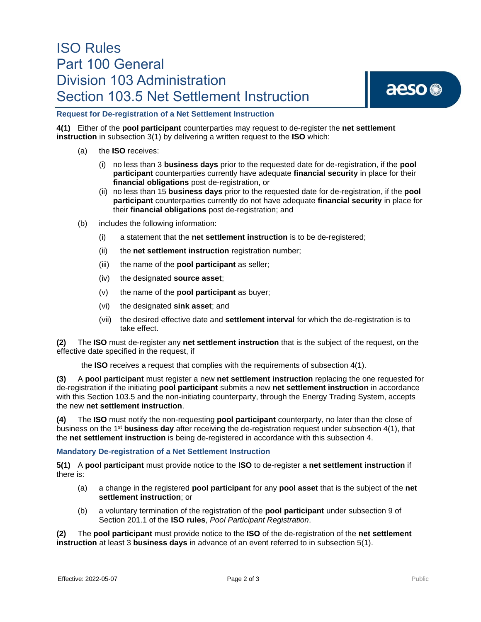## ISO Rules Part 100 General Division 103 Administration Section 103.5 Net Settlement Instruction



### **Request for De-registration of a Net Settlement Instruction**

**4(1)** Either of the **pool participant** counterparties may request to de-register the **net settlement instruction** in subsection 3(1) by delivering a written request to the **ISO** which:

- (a) the **ISO** receives:
	- (i) no less than 3 **business days** prior to the requested date for de-registration, if the **pool participant** counterparties currently have adequate **financial security** in place for their **financial obligations** post de-registration, or
	- (ii) no less than 15 **business days** prior to the requested date for de-registration, if the **pool participant** counterparties currently do not have adequate **financial security** in place for their **financial obligations** post de-registration; and
- (b) includes the following information:
	- (i) a statement that the **net settlement instruction** is to be de-registered;
	- (ii) the **net settlement instruction** registration number;
	- (iii) the name of the **pool participant** as seller;
	- (iv) the designated **source asset**;
	- (v) the name of the **pool participant** as buyer;
	- (vi) the designated **sink asset**; and
	- (vii) the desired effective date and **settlement interval** for which the de-registration is to take effect.

**(2)** The **ISO** must de-register any **net settlement instruction** that is the subject of the request, on the effective date specified in the request, if

the **ISO** receives a request that complies with the requirements of subsection 4(1).

**(3)** A **pool participant** must register a new **net settlement instruction** replacing the one requested for de-registration if the initiating **pool participant** submits a new **net settlement instruction** in accordance with this Section 103.5 and the non-initiating counterparty, through the Energy Trading System, accepts the new **net settlement instruction**.

**(4)** The **ISO** must notify the non-requesting **pool participant** counterparty, no later than the close of business on the 1st **business day** after receiving the de-registration request under subsection 4(1), that the **net settlement instruction** is being de-registered in accordance with this subsection 4.

### **Mandatory De-registration of a Net Settlement Instruction**

**5(1)** A **pool participant** must provide notice to the **ISO** to de-register a **net settlement instruction** if there is:

- (a) a change in the registered **pool participant** for any **pool asset** that is the subject of the **net settlement instruction**; or
- (b) a voluntary termination of the registration of the **pool participant** under subsection 9 of Section 201.1 of the **ISO rules**, *Pool Participant Registration*.

**(2)** The **pool participant** must provide notice to the **ISO** of the de-registration of the **net settlement instruction** at least 3 **business days** in advance of an event referred to in subsection 5(1).